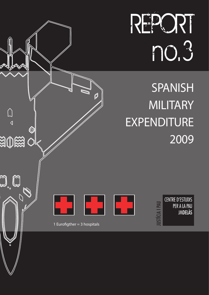REPORT no.3

**SPANISH MILITARY EXPENDITURE** 2009



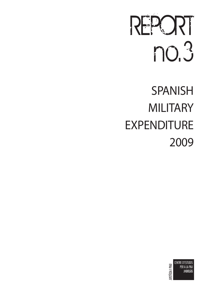# REPORT no.3

# **SPANISH MILITARY EXPENDITURE** 2009

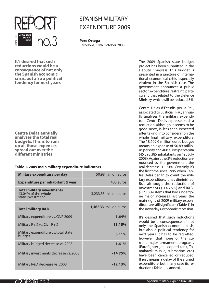

# **SPANISH MILITARY EXPENDITURE 2009**

**Pere Ortega** Barcelona, 10th October 2008

**It's desired that such reductions would be a consequence of not only the Spanish economic crisis, but also a political tendency for next years**

The 2009 Spanish state budget project has been submitted in the Deputy Congress. This budget is presented in a juncture of international economical crisis, especially virulent in the Spanish case. The government announces a public sector expenditure restraint, particularly that related to the Defence Ministry, which will be reduced 3%.

Centre Delàs d'Estudis per la Pau, associated to Justícia i Pau, annually analyses the military expenditure. Centre Delàs expresses such a reduction, although it seems to be good news, is less than expected after taking into consideration the whole final military expenditure. The 18,609.6 million euros budget means an expense of 50.89 millions per day and 408 euros per capita (45,593,385 inhabitants on 1st July 2008). Against the 3% reduction announced by the government, the real decrease is 1.61%. Certainly it's the first time since 1995, when Centre Delàs began to count the military expenditure, it has diminished. But, although the reduction of investments (-14.75%) and R&D (-12.13%), items that had undergone major increases last years, the main signs of 2009 military expenditure are still significant (Table 1) in the nowadays-economic recession.

It's desired that such reductions would be a consequence of not only the Spanish economic crisis, but also a political tendency for next years. It has to be regretted, however, that none of the current major armament programs (Eurofighter jet, Leopard tank, Tomahawk missile, submarine, etc.) have been cancelled or reduced. It just means a delay of the signed expenditure, but in any case its reduction (Table 11, annex).

**Centre Delàs annually analyses the total real budgets. This is to sum up all those expenses spread out over the different ministries**

### **Table 1. 2009 main military expenditure indicators**

| Military expenditure per day                                                 | 50.98 million euros    |
|------------------------------------------------------------------------------|------------------------|
| <b>Expenditure per inhabitant &amp; year</b>                                 | 408 euros              |
| <b>Total military investments</b><br>13.04% of the whole<br>state investment | 3,233.55 million euros |
| <b>Total military R&amp;D</b>                                                | 1,462.33 million euros |
| Military expenditure vs. GNP 2009                                            | 1,64%                  |
| Military R+D vs. Civil R+D                                                   | 15,15%                 |
| Military expenditure vs. total state<br>budget                               | 5,11%                  |
| Military budged decrease vs. 2008                                            | $-1,61%$               |
| Military investments decrease vs. 2008                                       | $-14,75%$              |
| Military R&D decrease vs. 2008                                               | -12,13%                |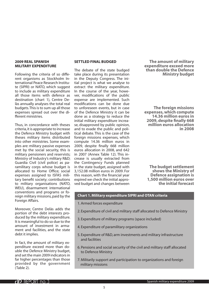#### **2009 real Spanish military expenditure**

Following the criteria of so different organisms as Stockholm International Peace Research Institute (SIPRI) or NATO, which suggest to include as military expenditure all those items with defence as destination (chart 1), Centre Delàs annually analyses the total real budgets. This is to sum up all those expenses spread out over the different ministries.

Thus, in concordance with theses criteria, it is appropriate to increase the Defence Ministry budget with theses military items distributed into other ministries. Some examples are: military passive expenses met by the social security, this is military pensioners and reservists; Ministry of Industry's military R&D; Guardia Civil (civil police) as paramilitary corps whose budget is allocated to Home Office; social expenses assigned to ISFAS military benefit society; contributions to military organisations (NATO, WEU), disarmament international conventions and programs or foreign military missions, paid by the Foreign Affairs.

Moreover, Centre Delàs adds the portion of the debt interests produced by the military expenditure. It is meaningful to do so due to the amount of investment in armament and facilities, and the state debt it implies.

In fact, the amount of military expenditure exceed more than double the Defence Ministry budget, and set the main 2009 indicators in far higher percentages than those provided by the government (Table 2).

#### **Settled final budged**

The debate of the state budged take place during its presentation in the Deputy Congress. The initial project is what we analyse to extract the military expenditure. In the course of the year, however, modifications of the public expense are implemented. Such modifications can be done due to unforeseen events, but in case of the Defence Ministry it can be done as a strategy to reduce the initial military expenditure increase, disapproved by public opinion, and to evade the public and political debate. This is the case of the foreign missions expenses, which compute 14.36 million euros in 2009, despite finally 668 million euros allocation in 2008, and 642 in 2007 (Annex Table 12). This increase is usually extracted from the Contingency Funds planned in the state budget, assigned with 3,152.08 million euros in 2009. For this reason, with the financial year expired we check the initial approved budget and changes between

**The amount of military expenditure exceed more than double the Defence Ministry budget**

**The foreign missions expenses, which compute 14.36 million euros in 2009, despite finally 668 million euros allocation in 2008**

**The budget settlement shows the Ministry of Defence assignation is 1,500 million euros over the initial forecast**

#### **Chart 1. Military expenditure SIPRI and OTAN criteria**

- 1. Armed forces expenditure
- 2. Expenditure of civil and military staff allocated to Defence Ministry
- 3. Expenditure of military programs (space included)
- 4. Expenditure of paramilitary organizations
- 5. Expenditure of R&D, arm investments and military infrastructure and facilities
- 6. Pensions and social security of the civil and military staff allocated to Defence Ministry
- 7. Militarily support and participation to organizations and foreign military missions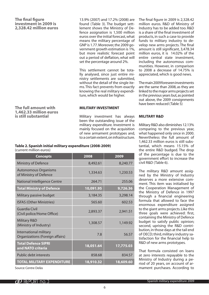#### **The final figure investment in 2009 is 2,328.42 million euros**

**The full amount with 1,462.33 million euros is still substantial**

#### 13.9% (2007) and 17.2% (2008) are found (Table 3). The budget settlement shows the Ministry of Defence assignation is 1,500 million euros over the initial forecast, what means the military percentage of GNP is 1.77. Moreover, the 2009 government growth estimation is 1%, but more realistic forecast point out a period of deflation, what will set the percentage around 2%.

This settlement cannot be totally analysed, since just entire ministry settlements are submitted, without the detail of the single items. This fact prevents from exactly knowing the real military expenditure, which would be higher.

**Military investment**

Military investment has always been the outstanding issue of the military expenditure. Investment is mainly focused on the acquisition of new armament prototypes and, to a certain extent, on infrastructure.

#### **Table 2. Spanish initial military expenditure (2008-2009)**  (current million euros)

| <b>Concepts</b>                                           | 2008      | 2009      |
|-----------------------------------------------------------|-----------|-----------|
| <b>Ministry of Defence</b>                                | 8,492.61  | 8,240.77  |
| <b>Autonomous Organisms</b><br>of Ministry of Defence     | 1,334.63  | 1,230.53  |
| <b>National Intelligence Centre</b>                       | 264.71    | 255.06    |
| <b>Total Ministry of Defence</b>                          | 10,091.95 | 9,726.36  |
| Military passive budget                                   | 3,184.35  | 3,298.14  |
| <b>ISFAS (Other Ministries)</b>                           | 565.60    | 602.53    |
| Guardia Civil<br>(Civil police/Home Office)               | 2,893.37  | 2,941.51  |
| <b>Military R&amp;D</b><br>(Ministry of Industry)         | 1,308.57  | 1,149.92  |
| International military<br>Organizations (Foreign affairs) | 7.8       | 56.57     |
| <b>Total Defence SIPRI</b><br>and NATO criteria           | 18,051.64 | 17,775.03 |
| Public debt interests                                     | 858.68    | 834.57    |
| <b>TOTAL MILITARY EXPENDITURE</b>                         | 18,910.32 | 18,609.60 |
| Source: Centre Delàs                                      |           |           |

The final figure in 2009 is 2,328.42 million euros. R&D of Ministry of Industry has to be added too. R&D is a share of the final investment of products, in such a case to provide funds to military industry to develop new arms projects. The final amount is still significant, 3,478.34 million euros, it is 14.02% of the entire central state investment, including the autonomous communities. However, in comparison to 2008 a decrease of 14.75% is appreciated, which is good news.

The main 2009 foreseen investments are the same than 2008, as they are linked to the major arms projects set in the previous years but, as pointed out above, the 2009 consignments have been reduced (Table 5)

# **Military R&D**

Military R&D also diminishes 12.13% comparing to the previous year, what happened only once in 2000. Nevertheless the full amount of 1,462.33 million euros is still substantial, which means 15.15% of the entire R&D budged. The drop of the percentage is due to the government effort to increase the civil R&D (Table 6).

The military R&D amount assigned by the Ministry of Industry deserves a more extensive comment. This item was initialised by the Cooperation Management of the Ministry of Defence in 1997 through a financial engineering formula that allowed to face the enormous expenditure assigned to the giant arms projects. Like this three goals were achieved: first, containing the Ministry of Defence budget to satisfy public opinion; second, uprising the R&D contribution, in those days at the tail end of OECD; third, military industry satisfaction for the financial help to R&D of new arms prototypes.

That formula consisted on loans at zero interests repayable to the Ministry of Industry during a period of 20 years, on account of armament purchases. According to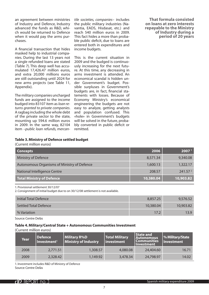an agreement between ministries of Industry and Defence, Industry advanced the funds as R&D, which would be returned to Defence when it would pay the arms purchases.

A financial transaction that hides masked help to industrial companies. During the last 13 years not a single refunded loans are stated (Table 7). This deep well has accumulated 17,426.47 million euros, and extra 20,000 millions euros are still outstanding until 2024 for new arms projects (see Table 11, Appendix).

The military companies uncharged funds are assigned to the income budged into 83107 item as *loan returns granted to private companies*. A ragbag including the whole debt of the private sector to the state, mounting up 594.6 million euros in 2009. In the same way, 82104 item –*public loan refunds, mercan-* *tile societies, companies*– includes the public military industries (Navantia, EADS, Hisdasat, etc.) and reach 540 million euros in 2009. This fact hides a more than probable public deficit, due to loans are entered both in expenditures and income budgets.

This is the current situation in 2009 and the budged is continuously increasing for the next future. At this time, any decreasing in arms investment is attended. An economical scandal is hidden under Government's budget. Possible surpluses in Government's budgets are, in fact, financial statements with losses. Because of Economy Ministry's economical engineering the budgets are not easy to analyze, getting analysts and population confused. This «hole» in Government's budgets will be solved in the future, probably converted in public deficit or remitted.

**That formula consisted on loans at zero interests repayable to the Ministry of Industry during a period of 20 years**

|  |  | Table 3. Ministry of Defence settled budget |
|--|--|---------------------------------------------|
|--|--|---------------------------------------------|

(Current million euros)

| <b>Concepts</b>                             | 2006      | 2007 <sup>1</sup>   |
|---------------------------------------------|-----------|---------------------|
| Ministry of Defence                         | 8,571.34  | 9,340.08            |
| Autonomous Organisms of Ministry of Defence | 1,600.13  | 1,322.17            |
| <b>National Intelligence Centre</b>         | 208.57    | 241.57 <sup>2</sup> |
| Total Ministry of Defence                   | 10,380.04 | 10,903.82           |

1. Provisional settlement 30/12/07

2. Consignment of initial budget due to on 30/12/08 settlement is not available.

| Initial Total Defence        | 8,857.25  | 9,576.52  |
|------------------------------|-----------|-----------|
| <b>Settled Total Defence</b> | 10,380.04 | 10,903.82 |
| % Variation                  | 17.2      | 13.9      |

Source: Centre Delàs

#### **Table 4. Military/Central State + Autonomous Communities Investment**

(Current million euros)

| Year | Defence<br>Investment <sup>1</sup> | Military R%D<br>Ministry of Industry | <b>Total Military</b><br>  investment | State and<br>Autonomous<br><b>Communities</b><br><b>Investment</b> | <b>% Military/State</b><br>Investment |
|------|------------------------------------|--------------------------------------|---------------------------------------|--------------------------------------------------------------------|---------------------------------------|
| 2008 | 2.771.51                           | 1,308.57                             | 4,080.08                              | 24,404.60                                                          | 16.71                                 |
| 2009 | 2,328.42                           | 1,149.92                             | 3,478.34                              | 24,798.97                                                          | 14.02                                 |

1. Investment includes R&D of Ministry of Defence Source: Centre Delàs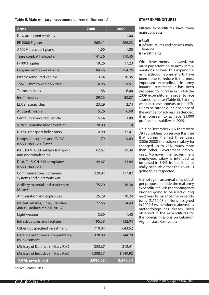#### **Table 5. Main military investment** (current million euros)

| <b>Arms</b>                                                    | 2008     | 2009     |
|----------------------------------------------------------------|----------|----------|
| New armoured vehicles                                          |          | 1.00     |
| EF-2000 Fighter                                                | 265.41   | 266.23   |
| A400M transport plane                                          | 1.00     | 1.00     |
| Tigre combat helicopter                                        | 141.36   | 110.45   |
| F-100 Frigates                                                 | 19.26    | 17.23    |
| Leopard armoured vehicle                                       | 84.56    | 154.76   |
| Pizarro armoured vehicle                                       | 13.54    | 70.36    |
| 155/52 mm towed howitzer                                       | 10.98    | 13.57    |
| <b>Taurus missiles</b>                                         | 11.88    | 6,00     |
| Iris-T missiles                                                | 29.56    | 30.27    |
| LLX strategic ship                                             | 23.29    | 2.74     |
| Antitank missile                                               | 5.26     | 6.60     |
| Centauro armoured vehicle                                      | 5.54     | 3.89     |
| S-70 submarine modernization                                   | 20.00    | 0        |
| NH-90 transport helicopters                                    | 14.90    | 32.01    |
| Lamps helicopters and AV-8V<br>modernization (Navy)            | 11.79    | 9,69     |
| BAC, BAM, LCM military transport<br>and disembark ships        | 62.67    | 59.34    |
| F-18, C-15, CN-235 aeroplanes<br>modernization                 | 49.67    | 33.84    |
| Communications, command<br>systems and electronic war          | 229.92   | 117.82   |
| Artillery material and battleships<br>(Army)                   | 75.20    | 38.38    |
| Ammunition and explosives                                      | 25.29    | 10.24    |
| Mistral missiles, ESSM, Standard<br>and torpedoes MK-46 (Army) | 27.66    | 24.43    |
| Light weapon                                                   | 3.60     | 1.40     |
| Infrastructures and facilities                                 | 195.38   | 132.04   |
| Other not specified investment                                 | 710.04   | 643.62   |
| Defence autonomous organizatio-<br>ns investment               | 378.08   | 244.79   |
| Ministry of Defence military R&D                               | 355.67   | 312.41   |
| Ministry of Industry military R&D                              | 1,308.57 | 1,149.92 |
| <b>TOTAL investment</b>                                        | 4,080.08 | 3,478.34 |

#### **Staff expenditures**

Military expenditures have three main concepts:

#### ■ Staff

- $\blacksquare$  Infrastructures and services maintenance
- nvestments

With investments analyzed, we must pay attention to army remunerations as well. This expenditure is, although some efforts have been done to reduce it, the most important expenditure in army financial statement. It has been proposed to increase in 1.94% the 2009 expenditure in order to face salaries increase (Table 8). But this weak increase appears to be difficult to be carried out, since a rise of the number of soldiers is attended. It is foreseen to achieve 81.000 professional soldiers in 2009.

On 31st December 2007 there were 79,128 soldiers on service. It is true that during the last three years (2006-2008) the soldier's salary ha changed up to 25%, much more than other Government employees. Moreover, the Government employee's salary is intended to be raised in 3.9%. In fact, it is not really believable that the 1.94% is going to be respected.

Is it not again an unreal army's budget proposal to hide the real army expenditure? Or is the contingency budged going to be used during next year to balance the expenditures (3,152.08 millions assigned in 2009)? As mentioned above, this methodology has already been observed in the expenditures for the foreign missions on Lebanon, Afghanistan, Kosovo, etc.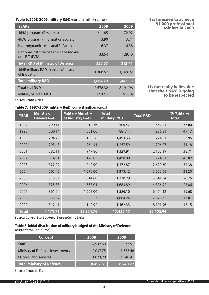**Table 6. 2008-2009 military R&D** (current million euros)

| <b>YEARS</b>                                               | 2008                  | 2009     |
|------------------------------------------------------------|-----------------------|----------|
| 464A program (Research)                                    | 211.85                | 172.92   |
| 467G program (Information society)                         | 3.90                  | 3.71     |
| Hydrodynamic test canal El Pardo                           | 6.37                  | 6.38     |
| National Institute of aerospace techni-<br>que E.T. (INTA) | 133.54                | 129.40   |
| <b>Total R&amp;D of Ministry of Defence</b>                | 355.67                | 312.41   |
| 464B military R&D loans of Ministry<br>of Industry         | 1,308.57              | 1,149.92 |
| <b>Total military R&amp;D</b>                              | $\overline{1,664.23}$ | 1,462.33 |
| <b>Total civil R&amp;D</b>                                 | 7,678.32              | 8,191.96 |
| Military vs. total R&D                                     | 17.82%                | 15.15%   |
|                                                            |                       |          |

**It is foreseen to achieve 81.000 professional soldiers in 2009**

**It is not really believable that the 1.94% is going to be respected**

Source: Centre Delàs

## **Table 7. 1997-2009 military R&D** (current million euros)

| <b>YEAR</b>  | <b>Ministry of</b><br><b>Defence R&amp;D</b> | <b>Military Ministry</b><br>of Industry R&D | <b>Total</b><br>military R&D | <b>Total R&amp;D</b> | % Military/<br><b>Total</b> |
|--------------|----------------------------------------------|---------------------------------------------|------------------------------|----------------------|-----------------------------|
| 1997         | 290.11                                       | 210.36                                      | 500.47                       | 852.21               | 37.00                       |
| 1998         | 300.14                                       | 581.00                                      | 881.14                       | 986.81               | 47.17                       |
| 1999         | 294.75                                       | 1,198.58                                    | 1,493.33                     | 1,274.51             | 53.95                       |
| 2000         | 293.48                                       | 964.11                                      | 1,257.59                     | 1,796.27             | 41.18                       |
| 2001         | 382.11                                       | 947.80                                      | 1,329.91                     | 2,105.39             | 38.71                       |
| 2002         | 314.04                                       | 1,176.85                                    | 1,490.89                     | 1,974.51             | 43.02                       |
| 2003         | 322.97                                       | 1,049.90                                    | 1,372.87                     | 2,620.30             | 34.38                       |
| 2004         | 303.42                                       | 1,070.00                                    | 1,373.42                     | 3,028.58             | 31.20                       |
| 2005         | 315.69                                       | 1,014.60                                    | 1,330.29                     | 3,641.94             | 26.75                       |
| 2006         | 325.88                                       | 1,358.01                                    | 1,683.89                     | 4,826.92             | 25.86                       |
| 2007         | 361.04                                       | 1,225.06                                    | 1,586.10                     | 6,474.32             | 19.68                       |
| 2008         | 355.67                                       | 1,308.57                                    | 1,664.24                     | 7,678.32             | 17.81                       |
| 2009         | 312.41                                       | 1,149.92                                    | 1,462.33                     | 8,191.96             | 15.15                       |
| <b>Total</b> | 4,171.71                                     | 13,254.76                                   | 17,426.47                    | 45,452.04            |                             |

Source: General State budged. Source: Centre Delàs

#### **Table 8. Initial distribution of military budged of the Ministry of Defence**  (current million euros)

| <b>Concept</b>                   | 2008     | 2009     |
|----------------------------------|----------|----------|
| Staff                            | 4,937.59 | 5,033.51 |
| Ministry of Defence Investments  | 2,037.75 | 1,733.48 |
| <b>BGoods and services</b>       | 1,073,28 | 1,048.41 |
| <b>Total Ministry of Defence</b> | 8,492.61 | 8,240.77 |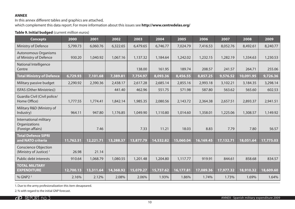# **ANNEX**

In this annex different tables and graphics are attached, which complement this data report. For more information about this issues see **http://www.centredelas.org/**

# **Table 9. Initial budged** (current million euros)

| <b>Concepts</b>                                                   | 2000      | 2001      | 2002      | 2003      | 2004      | 2005      | 2006      | 2007      | 2008      | 2009      |
|-------------------------------------------------------------------|-----------|-----------|-----------|-----------|-----------|-----------|-----------|-----------|-----------|-----------|
| Ministry of Defence                                               | 5,799.73  | 6,060.76  | 6,322.65  | 6,479.65  | 6,746.77  | 7,024.79  | 7,416.53  | 8,052.76  | 8,492.61  | 8,240.77  |
| <b>Autonomous Organisms</b><br>of Ministry of Defence             | 930.20    | 1,040.92  | 1,067.16  | 1,137.32  | 1,184.64  | 1,242.02  | 1,232.15  | 1,282.19  | 1,334.63  | 1,230.53  |
| National Intelligence<br>Centre                                   |           |           |           | 138.00    | 161.95    | 189.74    | 208.57    | 241.57    | 264.71    | 255.06    |
| <b>Total Ministry of Defence</b>                                  | 6,729.93  | 7,101.68  | 7,389.81  | 7,754.97  | 8,093.36  | 8,456.55  | 8,857.25  | 9,576.52  | 10,091.95 | 9,726.36  |
| Military passive budget                                           | 2,290.92  | 2,390.36  | 2,438.17  | 2,617.28  | 2,685.14  | 2,855.16  | 2,993.18  | 3,102.21  | 3,184.35  | 3,298.14  |
| ISFAS (Other Ministries))                                         |           |           | 441.40    | 462.96    | 551.75    | 571.98    | 587.80    | 563.62    | 565.60    | 602.53    |
| Guardia Civil (Civil police/<br>Home Office)                      | 1,777.55  | 1,774.41  | 1,842.14  | 1,985.35  | 2,080.56  | 2,143.72  | 2,364.38  | 2,657.51  | 2,893.37  | 2,941.51  |
| Military R&D (Ministry of<br>Industry)                            | 964.11    | 947.80    | 1,176.85  | 1,049.90  | 1,110.80  | 1,014.60  | 1,358.01  | 1,225.06  | 1,308.57  | 1,149.92  |
| International military<br>Organizations<br>(Foreign affairs)      |           | 7.46      |           | 7.33      | 11.21     | 18.03     | 8.83      | 7.79      | 7.80      | 56.57     |
| <b>Total Defence SIPRI</b><br>and NATO criteria                   | 11,762.51 | 12,221.71 | 13,288.37 | 13,877.79 | 14,532.82 | 15,060.04 | 16,169.45 | 17,132.71 | 18,051.64 | 17,775.03 |
| <b>Conscience Objection</b><br>(Ministry of Justice) <sup>1</sup> | 26.98     | 21.14     |           |           |           |           |           |           |           |           |
| Public debt interests                                             | 910.64    | 1,068.79  | 1,080.55  | 1,201.48  | 1,204.80  | 1,117.77  | 919.91    | 844.61    | 858.68    | 834.57    |
| <b>TOTAL MILITARY</b><br><b>EXPENDITURE</b>                       | 12,700.13 | 13,311.64 | 14,368.92 | 15,079.27 | 15,737.62 | 16,177.81 | 17,089.36 | 17,977.32 | 18,910.32 | 18,609.60 |
| % GNP2 <sup>2</sup>                                               | 2.16%     | 2.12%     | 2.08%     | 2.06%     | 1.93%     | 1.86%     | 1.74%     | 1.73%     | 1.69%     | 1.64%     |

1. Due to the army profesionalization this item desapeared.

2. % with regard to the initial GNP forecast.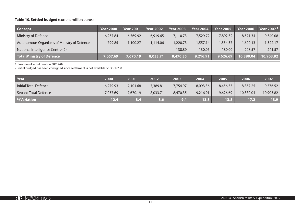# **Table 10. Settled budged** (current million euros)

| <b>Concept</b>                              | <b>Year 2000</b> | <b>Year 2001</b> | <b>Year 2002</b> | <b>Year 2003</b> | <b>Year 2004</b> | <b>Year 2005</b> | <b>Year 2006</b> | Year 2007 <sup>1</sup> |
|---------------------------------------------|------------------|------------------|------------------|------------------|------------------|------------------|------------------|------------------------|
| Ministry of Defence                         | 6,257.84         | 6,569.92         | 6,919.65         | 7,110.73         | 7,529.72         | 7,892.32         | 8,571.34         | 9,340.08               |
| Autonomous Organisms of Ministry of Defence | 799.85           | 1,100.27         | ,114.06          | 1,220.73         | 1,557.14         | 1,554.37         | 1,600.13         | 1,322.17               |
| National Intelligence Centre (2)            |                  |                  |                  | 138.89           | 130.05           | 180.00           | 208.57           | 241.57                 |
| Total Ministry of Defence                   | 7.057.69         | 7,670.19         | 8,033.71         | 8,470.35         | 9,216.91         | 9,626.69         | 10,380.04        | 10,903.82              |

1. Provisional settelment on 30/12/07

2. Initial budged has been consigned since settlement is not available on 30/12/08

| Year                         | 2000     | 2001     | 2002     | 2003     | 2004     | 2005              | 2006      | 2007      |
|------------------------------|----------|----------|----------|----------|----------|-------------------|-----------|-----------|
| Initial Total Defence        | 6,279.93 | 7,101.68 | 7,389.81 | 7,754.97 | 8,093.36 | 8,456.55          | 8,857.25  | 9,576.52  |
| <b>Settled Total Defence</b> | 7,057.69 | 7,670.19 | 8,033.71 | 8,470.35 | 9,216.91 | 9,626.69          | 10,380.04 | 10,903.82 |
| <b>Wariation</b>             | 12.4     | 8.4      | 8.6      | 9.4      | 13.8     | 13.8 <sub>1</sub> | 17.2      | 13.9      |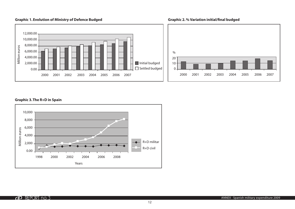# **Graphic 1. Evolution of Ministry of Defence Budged**



#### **Graphic 3. The R+D in Spain**



#### **Graphic 2. % Variation initial/final budged**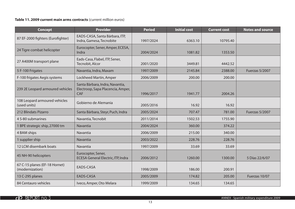# **Table 11. 2009 current main arms contracts** (current million euros)

| <b>Concept</b>                                   | <b>Provider</b>                                                             | <b>Period</b> | <b>Initial cost</b> | <b>Current cost</b> | <b>Notes and source</b> |
|--------------------------------------------------|-----------------------------------------------------------------------------|---------------|---------------------|---------------------|-------------------------|
| 87 EF-2000 fighters (Eurofighter)                | EADS-CASA, Santa Bárbara, ITP,<br>Indra, Gamesa, Tecnobite                  | 1997/2024     | 6363.10             | 10795.40            |                         |
| 24 Tigre combat helicopter                       | Eurocopter, Sener, Amper, ECESA,<br>Indra                                   | 2004/2024     | 1081.82             | 1353.50             |                         |
| 27 A400M transport plane                         | Eads-Casa, Flabel, ITP, Sener,<br>Tecnobit, Alcor                           | 2001/2020     | 3449.81             | 4442.52             |                         |
| 5 F-100 Frigates                                 | Navantia, Indra, Maxam                                                      | 1997/2009     | 2145.84             | 2388.00             | Fuerzas 5/2007          |
| F-100 frigates Aegis systems                     | Lockheed Martin, Amper                                                      | 2006/2009     | 200.00              | 200.00              |                         |
| 239 2E Leopard armoured vehicles                 | Santa Bàrbara, Indra, Navantia,<br>Electroop, Sapa Placencia, Amper,<br>CAF | 1996/2017     | 1941.77             | 2004.26             |                         |
| 108 Leopard armoured vehicles<br>(used units)    | Gobierno de Alemania                                                        | 2005/2016     | 16.92               | 16.92               |                         |
| 212 Blindats Pizarro                             | Santa Bárbara, Steyr, Puch, Indra                                           | 2005/2024     | 707.47              | 781.00              | Fuerzas 5/2007          |
| 4 S-80 submarines                                | Navantia, Tecnobit                                                          | 2011/2014     | 1502.53             | 1755.90             |                         |
| 1 BPE strategic ship, 27000 tm                   | Navantia                                                                    | 2004/2024     | 360.00              | 374.22              |                         |
| 4 BAM ships                                      | Navantia                                                                    | 2006/2009     | 215.00              | 340.00              |                         |
| 1 supplier ship                                  | Navantia                                                                    | 2003/2022     | 228.76              | 228.76              |                         |
| 12 LCM disembark boats                           | Navantia                                                                    | 1997/2009     | 33.69               | 33.69               |                         |
| 45 NH-90 helicopters                             | Eurocopter, Sener,<br><b>ECESA General Electric, ITP, Indra</b>             | 2006/2012     | 1260.00             | 1300.00             | 5 Días 22/6/07          |
| 67 C-15 planes (EF-18 Hornet)<br>(modernization) | EADS-CASA                                                                   | 1998/2009     | 186.00              | 200.91              |                         |
| 13 C-295 planes                                  | EADS-CASA                                                                   | 2005/2009     | 174.82              | 205.00              | Fuerzas 10/07           |
| 84 Centauro vehicles                             | Iveco, Amper, Oto Melara                                                    | 1999/2009     | 134.65              | 134.65              |                         |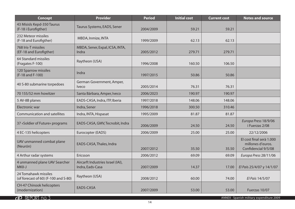| <b>Concept</b>                                               | <b>Provider</b>                                       | <b>Period</b> | <b>Initial cost</b> | <b>Current cost</b> | <b>Notes and source</b>                                              |
|--------------------------------------------------------------|-------------------------------------------------------|---------------|---------------------|---------------------|----------------------------------------------------------------------|
| 43 Mísisls Kepd-350 Taurus<br>(F-18 i Eurofigther)           | Taurus Systems, EADS, Sener                           | 2004/2009     | 59.21               | 59.21               |                                                                      |
| 232 Meteor missiles<br>(F-18 and Eurofigther)                | MBDA, Inmize, INTA                                    | 1999/2009     | 62.13               | 62.13               |                                                                      |
| 768 Iris-T missiles<br>(EF-18 and Eurofigther)               | MBDA, Sener, Expal, ICSA, INTA,<br>Indra              | 2005/2012     | 279.71              | 279.71              |                                                                      |
| 64 Standard missiles<br>(Fragates F-100)                     | Raytheon (USA)                                        | 1996/2008     | 160.50              | 106.50              |                                                                      |
| 120 Sparrow missiles<br>(F-18 and F-100)                     | Indra                                                 | 1997/2015     | 50.86               | 50.86               |                                                                      |
| 40 S-80 submarine torpedoes                                  | German Government, Amper,<br><i>lveco</i>             | 2005/2014     | 76.31               | 76.31               |                                                                      |
| 70 155/52 mm howitzer                                        | Santa Bárbara, Amper, Iveco                           | 2006/2023     | 190.97              | 190.97              |                                                                      |
| 5 AV-8B planes                                               | EADS-CASA, Indra, ITP, Iberia                         | 1997/2018     | 148.06              | 148.06              |                                                                      |
| <b>Electronic war</b>                                        | Indra, Sener                                          | 1996/2018     | 300.50              | 310.46              |                                                                      |
| <b>Communication and satellites</b>                          | Indra, INTA, Hispasat                                 | 1995/2009     | 81.87               | 81.87               |                                                                      |
| 37 «Soldier of Future» programs                              | EADS-CASA, GMV, Tecnobit, Indra                       | 2006/2009     | 24.50               | 24.50               | Europa Press 18/9/06<br>i Fuerzas 2/08                               |
| 4 EC-135 helicopters                                         | Eurocopter (EADS)                                     | 2006/2009     | 25.00               | 25.00               | 22/12/2006                                                           |
| UAV unmanned combat plane<br>(Neurón)                        | EADS-CASA, Thales, Indra                              | 2007/2012     | 35.50               | 35.50               | El cost final serà 1.000<br>millones d'euros.<br>Confidencial 9/5/08 |
| 4 Arthur radar systems                                       | Ericsson                                              | 2006/2012     | 69.09               | 69.09               | Europa Press 28/11/06                                                |
| 4 unmanned plane UAV Searcher<br>MKII-J                      | Aircarft Industries Israel (IAI),<br>Indra, Eads-Casa | 2007/2009     | 14.37               | 17.00               | El País 25/4/07 y 14/1/07                                            |
| 24 Tomahawk missiles<br>(of forecast of 60) (F-100 and S-80) | Raytheon (USA)                                        | 2008/2012     | 60.00               | 74.00               | El País 14/5/07                                                      |
| CH-47 Chinook helicopters<br>(modernization)                 | <b>EADS-CASA</b>                                      | 2007/2009     | 53.00               | 53.00               | Fuerzas 10/07                                                        |

**COP** REPORT no. 3

ANNEX · Spanish military expenditure 2009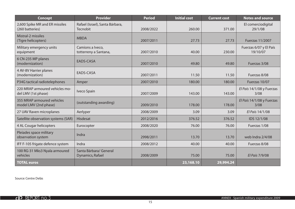| <b>Concept</b>                                        | <b>Provider</b>                             | <b>Period</b> | <b>Initial cost</b> | <b>Current cost</b> | <b>Notes and source</b>            |
|-------------------------------------------------------|---------------------------------------------|---------------|---------------------|---------------------|------------------------------------|
| 2,600 Spike MR and ER missiles<br>(260 batteries)     | Rafael (Israel), Santa Bárbara,<br>Tecnobit | 2008/2022     | 260.00              | 371.00              | El comerciodigital<br>29/1/08      |
| Mistral-2 missiles<br>(Tigre helicopters)             | <b>MBDA</b>                                 | 2007/2011     | 27.73               | 27.73               | Fuerzas 11/2007                    |
| Military emergency units<br>equipment                 | Camions a Iveco,<br>totterreny a Santana,   | 2007/2010     | 40.00               | 230.00              | Fuerzas 6/07 y El País<br>19/10/07 |
| 6 CN-235 MP planes<br>(modernization)                 | EADS-CASA                                   | 2007/2010     | 49.80               | 49.80               | Fuerzas 3/08                       |
| 4 AV-8V Harrier planes<br>(modernization)             | EADS-CASA                                   | 2007/2011     | 11.50               | 11.50               | Fuerzas 8/08                       |
| P34G tactical radiotelephones                         | Amper                                       | 2007/2010     | 180.00              | 180.00              | Fuerzas 10/07                      |
| 220 MRAP armoured vehicles mo-<br>del LMV (1st phase) | Iveco Spain                                 | 2007/2009     | 143.00              | 143.00              | El País 14/1/08 y Fuerzas<br>3/08  |
| 355 MRAP armoured vehicles<br>model LMV (2nd phase)   | (outstanding awarding)                      | 2009/2010     | 178.00              | 178.00              | El País 14/1/08 y Fuerzas<br>3/08  |
| 27 UAV Raven microplanes                              | Aerlyper                                    | 2008/2009     | 3.09                | 3.09                | El País 14/1/08                    |
| Satellite observation systems (SAR)                   | Hisdesat                                    | 2012/2016     | 376.52              | 376.52              | IDS 12/1/08                        |
| 4 AL Cougar helicopters                               | Eurocopter                                  | 2008/2020     | 76.00               | 76.00               | Fuerzas 1/08                       |
| Pleiades space military<br>observation system         | Indra                                       | 2998/2011     | 13.70               | 13.70               | web Indra 2/4/08                   |
| IFF F-105 frigate defence system                      | Indra                                       | 2008/2012     | 40.00               | 40.00               | Fuerzas 8/08                       |
| 100 RG-31 Mks3 Nyala armoured<br>vehicles             | Santa Bárbara/ General<br>Dynamics, Rafael  | 2008/2009     | 75.00               | 75.00               | El País 7/9/08                     |
| <b>TOTAL euros</b>                                    |                                             |               | 23,168.10           | 29,994.24           |                                    |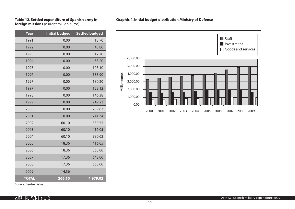#### **Table 12. Settled expenditure of Spanish army in foreign missions** (current million euros)

| <b>Year</b>  | <b>Initial budged</b> | <b>Settled budged</b> |
|--------------|-----------------------|-----------------------|
| 1991         | 0.00                  | 18.70                 |
| 1992         | 0.00                  | 45.80                 |
| 1993         | 0.00                  | 17.70                 |
| 1994         | 0.00                  | 58.20                 |
| 1995         | 0.00                  | 103.10                |
| 1996         | 0.00                  | 133.90                |
| 1997         | 0.00                  | 180.20                |
| 1997         | 0.00                  | 128.12                |
| 1998         | 0.00                  | 146.38                |
| 1999         | 0.00                  | 249.23                |
| 2000         | 0.00                  | 239.63                |
| 2001         | 0.00                  | 241.34                |
| 2002         | 60.10                 | 330.55                |
| 2003         | 60.10                 | 416.05                |
| 2004         | 60.10                 | 380.62                |
| 2005         | 18.36                 | 416.05                |
| 2006         | 18.36                 | 563.00                |
| 2007         | 17.36                 | 642.00                |
| 2008         | 17.36                 | 668.00                |
| 2009         | 14.36                 |                       |
| <b>TOTAL</b> | 266.10                | 4,979.02              |



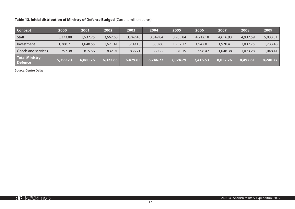# **Table 13. Initial distribution of Ministry of Defence Budged** (Current million euros)

| <b>Concept</b>                   | 2000     | 2001     | 2002     | 2003     | 2004     | 2005     | 2006     | 2007     | 2008     | 2009     |
|----------------------------------|----------|----------|----------|----------|----------|----------|----------|----------|----------|----------|
| <b>Staff</b>                     | 3,373.88 | 3,537.75 | 3,667.68 | 3,742.43 | 3,849.84 | 3,905.84 | 4,212.18 | 4,616.93 | 4,937.59 | 5,033.51 |
| Investment                       | 1,788.71 | 1,648.55 | ,671.41  | 1,709.10 | 830.68   | 1,952.17 | 942.01,  | 970.41,  | 2,037.75 | 1,733.48 |
| Goods and services               | 797.38   | 815.56   | 832.91   | 836.21   | 880.22   | 970.19   | 998.42   | 1,048.38 | 1,073,28 | 1,048.41 |
| Total Ministry<br><b>Defence</b> | 5,799.73 | 6,060.76 | 6,322.65 | 6,479.65 | 6,746.77 | 7,024.79 | 7,416.53 | 8,052.76 | 8,492.61 | 8,240.77 |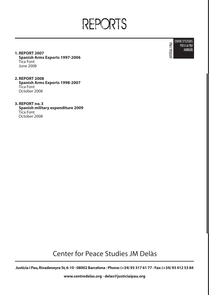REPORTS

**CENTRE D'ESTUDIS** USTÍCIA I PAU PER A LA PAU **JMDELÀS** 

**1. REPORT 2007 Spanish Arms Exports 1997-2006** Tica Font June 2008

**2. REPORT 2008 Spanish Arms Exports 1998-2007** Tica Font October 2008

**3. REPORT no. 3 Spanish military expenditure 2009** Tica Font October 2008

Center for Peace Studies JM Delàs

**Justícia i Pau, Rivadeneyra St, 6-10 · 08002 Barcelona · Phone: (+34) 93 317 61 77 · Fax: (+34) 93 412 53 84**

**www.centredelas.org · delas@justiciaipau.org**